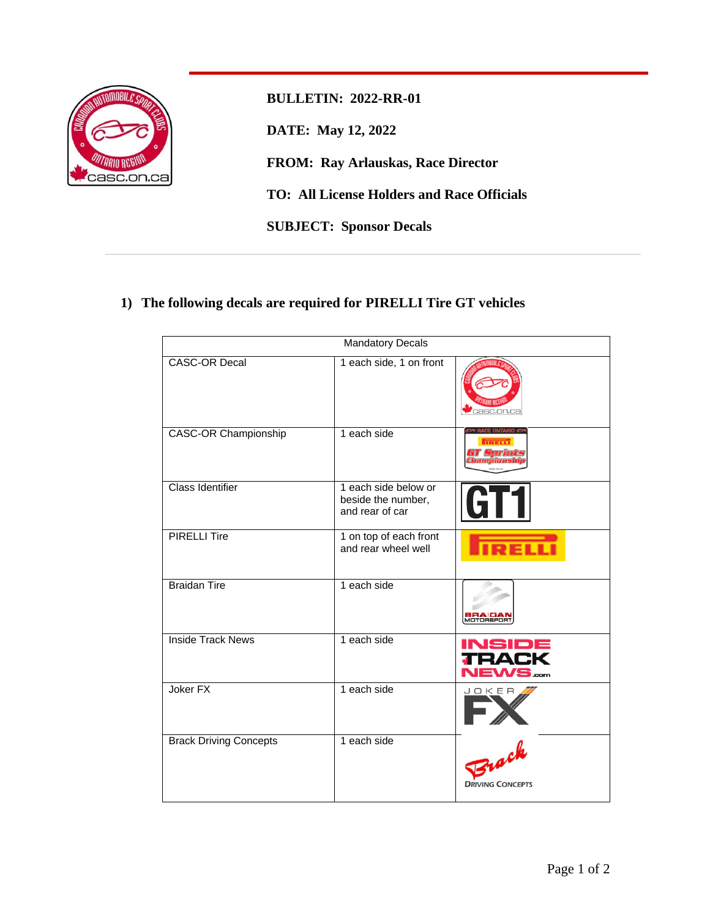

**BULLETIN: 2022-RR-01 DATE: May 12, 2022 FROM: Ray Arlauskas, Race Director TO: All License Holders and Race Officials SUBJECT: Sponsor Decals**

## **1) The following decals are required for PIRELLI Tire GT vehicles**

| <b>Mandatory Decals</b>       |                                                               |                                         |  |
|-------------------------------|---------------------------------------------------------------|-----------------------------------------|--|
| <b>CASC-OR Decal</b>          | 1 each side, 1 on front                                       | asc.on.ca                               |  |
| <b>CASC-OR Championship</b>   | 1 each side                                                   |                                         |  |
| <b>Class Identifier</b>       | 1 each side below or<br>beside the number,<br>and rear of car | <b>GT1</b>                              |  |
| <b>PIRELLI Tire</b>           | 1 on top of each front<br>and rear wheel well                 |                                         |  |
| <b>Braidan Tire</b>           | 1 each side                                                   |                                         |  |
| <b>Inside Track News</b>      | 1 each side                                                   | <b>INSIDE</b><br><b>TRACI</b><br>/S.com |  |
| Joker <sub>FX</sub>           | 1 each side                                                   | JOKER                                   |  |
| <b>Brack Driving Concepts</b> | 1 each side                                                   | Zrack<br><b>DRIVING CONCEPTS</b>        |  |